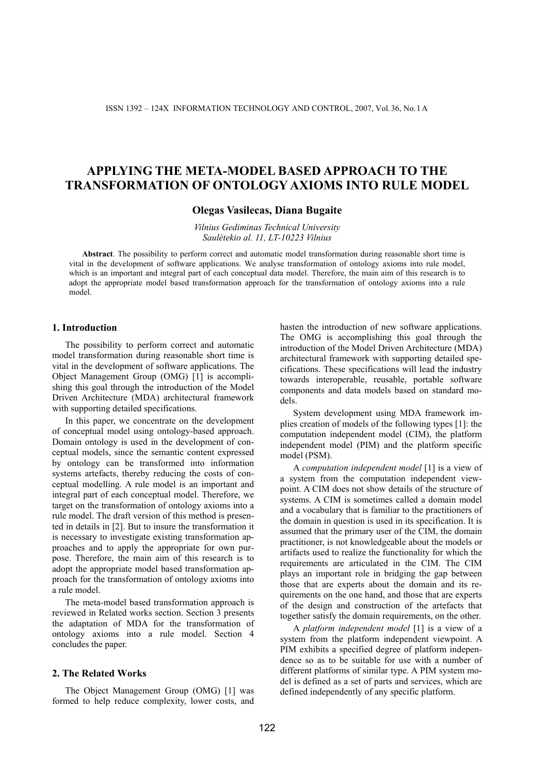# **APPLYING THE META-MODEL BASED APPROACH TO THE TRANSFORMATION OF ONTOLOGY AXIOMS INTO RULE MODEL**

# **Olegas Vasilecas, Diana Bugaite**

*Vilnius Gediminas Technical University Saulėtekio al. 11, LT-10223 Vilnius* 

**Abstract**. The possibility to perform correct and automatic model transformation during reasonable short time is vital in the development of software applications. We analyse transformation of ontology axioms into rule model, which is an important and integral part of each conceptual data model. Therefore, the main aim of this research is to adopt the appropriate model based transformation approach for the transformation of ontology axioms into a rule model.

### **1. Introduction**

The possibility to perform correct and automatic model transformation during reasonable short time is vital in the development of software applications. The Object Management Group (OMG) [1] is accomplishing this goal through the introduction of the Model Driven Architecture (MDA) architectural framework with supporting detailed specifications.

In this paper, we concentrate on the development of conceptual model using ontology-based approach. Domain ontology is used in the development of conceptual models, since the semantic content expressed by ontology can be transformed into information systems artefacts, thereby reducing the costs of conceptual modelling. A rule model is an important and integral part of each conceptual model. Therefore, we target on the transformation of ontology axioms into a rule model. The draft version of this method is presented in details in [2]. But to insure the transformation it is necessary to investigate existing transformation approaches and to apply the appropriate for own purpose. Therefore, the main aim of this research is to adopt the appropriate model based transformation approach for the transformation of ontology axioms into a rule model.

The meta-model based transformation approach is reviewed in Related works section. Section 3 presents the adaptation of MDA for the transformation of ontology axioms into a rule model. Section 4 concludes the paper.

## **2. The Related Works**

The Object Management Group (OMG) [1] was formed to help reduce complexity, lower costs, and hasten the introduction of new software applications. The OMG is accomplishing this goal through the introduction of the Model Driven Architecture (MDA) architectural framework with supporting detailed specifications. These specifications will lead the industry towards interoperable, reusable, portable software components and data models based on standard models.

System development using MDA framework implies creation of models of the following types [1]: the computation independent model (CIM), the platform independent model (PIM) and the platform specific model (PSM).

A *computation independent model* [1] is a view of a system from the computation independent viewpoint. A CIM does not show details of the structure of systems. A CIM is sometimes called a domain model and a vocabulary that is familiar to the practitioners of the domain in question is used in its specification. It is assumed that the primary user of the CIM, the domain practitioner, is not knowledgeable about the models or artifacts used to realize the functionality for which the requirements are articulated in the CIM. The CIM plays an important role in bridging the gap between those that are experts about the domain and its requirements on the one hand, and those that are experts of the design and construction of the artefacts that together satisfy the domain requirements, on the other.

A *platform independent model* [1] is a view of a system from the platform independent viewpoint. A PIM exhibits a specified degree of platform independence so as to be suitable for use with a number of different platforms of similar type. A PIM system model is defined as a set of parts and services, which are defined independently of any specific platform.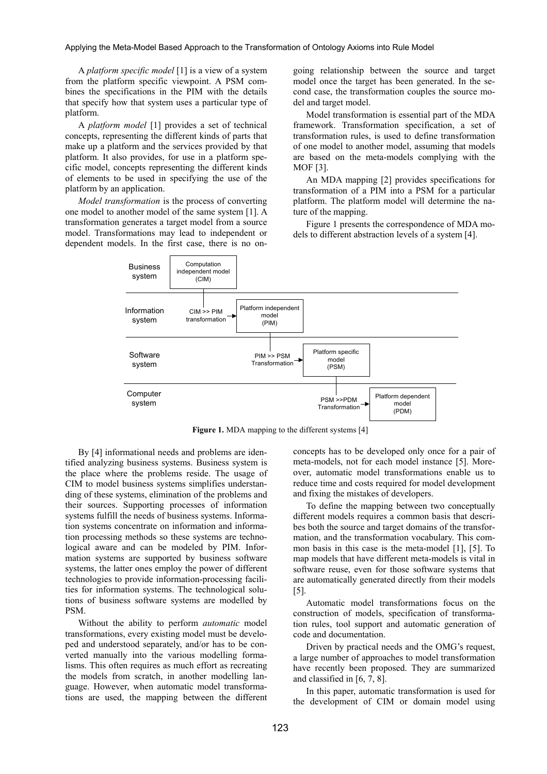#### Applying the Meta-Model Based Approach to the Transformation of Ontology Axioms into Rule Model

A *platform specific model* [1] is a view of a system from the platform specific viewpoint. A PSM combines the specifications in the PIM with the details that specify how that system uses a particular type of platform.

A *platform model* [1] provides a set of technical concepts, representing the different kinds of parts that make up a platform and the services provided by that platform. It also provides, for use in a platform specific model, concepts representing the different kinds of elements to be used in specifying the use of the platform by an application.

*Model transformation* is the process of converting one model to another model of the same system [1]. A transformation generates a target model from a source model. Transformations may lead to independent or dependent models. In the first case, there is no on-

going relationship between the source and target model once the target has been generated. In the second case, the transformation couples the source model and target model.

Model transformation is essential part of the MDA framework. Transformation specification, a set of transformation rules, is used to define transformation of one model to another model, assuming that models are based on the meta-models complying with the MOF [3].

An MDA mapping [2] provides specifications for transformation of a PIM into a PSM for a particular platform. The platform model will determine the nature of the mapping.

Figure 1 presents the correspondence of MDA models to different abstraction levels of a system [4].



**Figure 1.** MDA mapping to the different systems [4]

By [4] informational needs and problems are identified analyzing business systems. Business system is the place where the problems reside. The usage of CIM to model business systems simplifies understanding of these systems, elimination of the problems and their sources. Supporting processes of information systems fulfill the needs of business systems. Information systems concentrate on information and information processing methods so these systems are technological aware and can be modeled by PIM. Information systems are supported by business software systems, the latter ones employ the power of different technologies to provide information-processing facilities for information systems. The technological solutions of business software systems are modelled by PSM.

Without the ability to perform *automatic* model transformations, every existing model must be developed and understood separately, and/or has to be converted manually into the various modelling formalisms. This often requires as much effort as recreating the models from scratch, in another modelling language. However, when automatic model transformations are used, the mapping between the different concepts has to be developed only once for a pair of meta-models, not for each model instance [5]. Moreover, automatic model transformations enable us to reduce time and costs required for model development and fixing the mistakes of developers.

To define the mapping between two conceptually different models requires a common basis that describes both the source and target domains of the transformation, and the transformation vocabulary. This common basis in this case is the meta-model [1], [5]. To map models that have different meta-models is vital in software reuse, even for those software systems that are automatically generated directly from their models [5].

Automatic model transformations focus on the construction of models, specification of transformation rules, tool support and automatic generation of code and documentation.

Driven by practical needs and the OMG's request, a large number of approaches to model transformation have recently been proposed. They are summarized and classified in [6, 7, 8].

In this paper, automatic transformation is used for the development of CIM or domain model using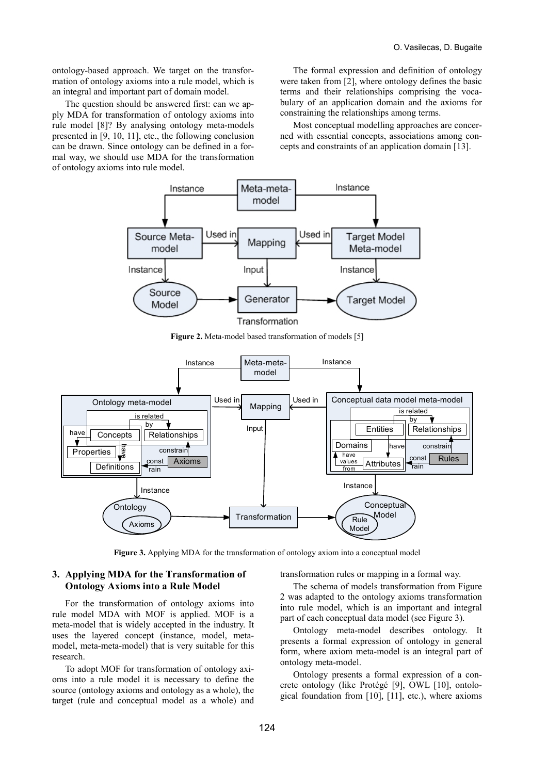ontology-based approach. We target on the transformation of ontology axioms into a rule model, which is an integral and important part of domain model.

The question should be answered first: can we apply MDA for transformation of ontology axioms into rule model [8]? By analysing ontology meta-models presented in [9, 10, 11], etc., the following conclusion can be drawn. Since ontology can be defined in a formal way, we should use MDA for the transformation of ontology axioms into rule model.

The formal expression and definition of ontology were taken from [2], where ontology defines the basic terms and their relationships comprising the vocabulary of an application domain and the axioms for constraining the relationships among terms.

Most conceptual modelling approaches are concerned with essential concepts, associations among concepts and constraints of an application domain [13].



**Figure 2.** Meta-model based transformation of models [5]



**Figure 3.** Applying MDA for the transformation of ontology axiom into a conceptual model

# **3. Applying MDA for the Transformation of Ontology Axioms into a Rule Model**

For the transformation of ontology axioms into rule model MDA with MOF is applied. MOF is a meta-model that is widely accepted in the industry. It uses the layered concept (instance, model, metamodel, meta-meta-model) that is very suitable for this research.

To adopt MOF for transformation of ontology axioms into a rule model it is necessary to define the source (ontology axioms and ontology as a whole), the target (rule and conceptual model as a whole) and transformation rules or mapping in a formal way.

The schema of models transformation from Figure 2 was adapted to the ontology axioms transformation into rule model, which is an important and integral part of each conceptual data model (see Figure 3).

Ontology meta-model describes ontology. It presents a formal expression of ontology in general form, where axiom meta-model is an integral part of ontology meta-model.

Ontology presents a formal expression of a concrete ontology (like Protégé [9], OWL [10], ontological foundation from [10], [11], etc.), where axioms